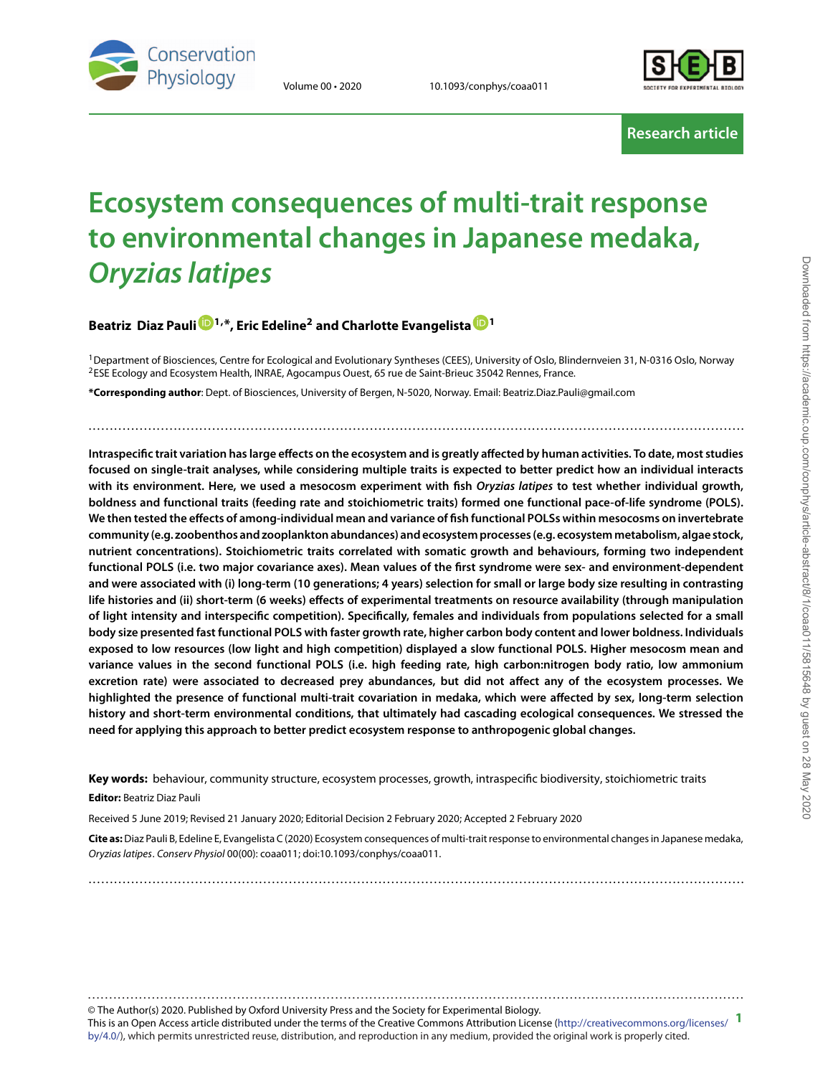

Volume 00 • 2020 10.1093/conphys/coaa011



**Research article**

# **Ecosystem consequences of multi-trait response to environmental changes in Japanese medaka,** *Oryzias latipes*

**Beatriz Diaz Pauli [1](http://orcid.org/0000-0002-9421-7758),\*, Eric Edeline2 and Charlotte Evangelista [1](https://orcid.org/0000-0002-9586-0868)**

<sup>1</sup>Department of Biosciences, Centre for Ecological and Evolutionary Syntheses (CEES), University of Oslo, Blindernveien 31, N-0316 Oslo, Norway 2ESE Ecology and Ecosystem Health, INRAE, Agocampus Ouest, 65 rue de Saint-Brieuc 35042 Rennes, France.

..........................................................................................................................................................

**\*Corresponding author**: Dept. of Biosciences, University of Bergen, N-5020, Norway. Email: Beatriz.Diaz.Pauli@gmail.com

**Intraspecific trait variation has large effects on the ecosystem and is greatly affected by human activities. To date, most studies focused on single-trait analyses, while considering multiple traits is expected to better predict how an individual interacts with its environment. Here, we used a mesocosm experiment with fish** *Oryzias latipes* **to test whether individual growth, boldness and functional traits (feeding rate and stoichiometric traits) formed one functional pace-of-life syndrome (POLS). We then tested the effects of among-individual mean and variance of fish functional POLSs within mesocosms on invertebrate community (e.g. zoobenthos and zooplankton abundances) and ecosystem processes (e.g. ecosystemmetabolism, algae stock, nutrient concentrations). Stoichiometric traits correlated with somatic growth and behaviours, forming two independent functional POLS (i.e. two major covariance axes). Mean values of the first syndrome were sex- and environment-dependent and were associated with (i) long-term (10 generations; 4 years) selection for small or large body size resulting in contrasting life histories and (ii) short-term (6 weeks) effects of experimental treatments on resource availability (through manipulation of light intensity and interspecific competition). Specifically, females and individuals from populations selected for a small body size presented fast functional POLS with faster growth rate, higher carbon body content and lower boldness. Individuals exposed to low resources (low light and high competition) displayed a slow functional POLS. Higher mesocosm mean and variance values in the second functional POLS (i.e. high feeding rate, high carbon:nitrogen body ratio, low ammonium excretion rate) were associated to decreased prey abundances, but did not affect any of the ecosystem processes. We highlighted the presence of functional multi-trait covariation in medaka, which were affected by sex, long-term selection history and short-term environmental conditions, that ultimately had cascading ecological consequences. We stressed the need for applying this approach to better predict ecosystem response to anthropogenic global changes.**

**Key words:** behaviour, community structure, ecosystem processes, growth, intraspecific biodiversity, stoichiometric traits

**Editor:** Beatriz Diaz Pauli

Received 5 June 2019; Revised 21 January 2020; Editorial Decision 2 February 2020; Accepted 2 February 2020

**Cite as:**Diaz Pauli B, Edeline E, Evangelista C (2020) Ecosystem consequences of multi-trait response to environmental changes in Japanese medaka, Oryzias latipes. Conserv Physiol 00(00): coaa011; doi:10.1093/conphys/coaa011.

..........................................................................................................................................................

© The Author(s) 2020. Published by Oxford University Press and the Society for Experimental Biology.

This is an Open Access article distributed under the terms of the Creative Commons Attribution License [\(http://creativecommons.org/licenses/](http://creativecommons.org/licenses/by/4.0/) **1** [by/4.0/\)](http://creativecommons.org/licenses/by/4.0/), which permits unrestricted reuse, distribution, and reproduction in any medium, provided the original work is properly cited.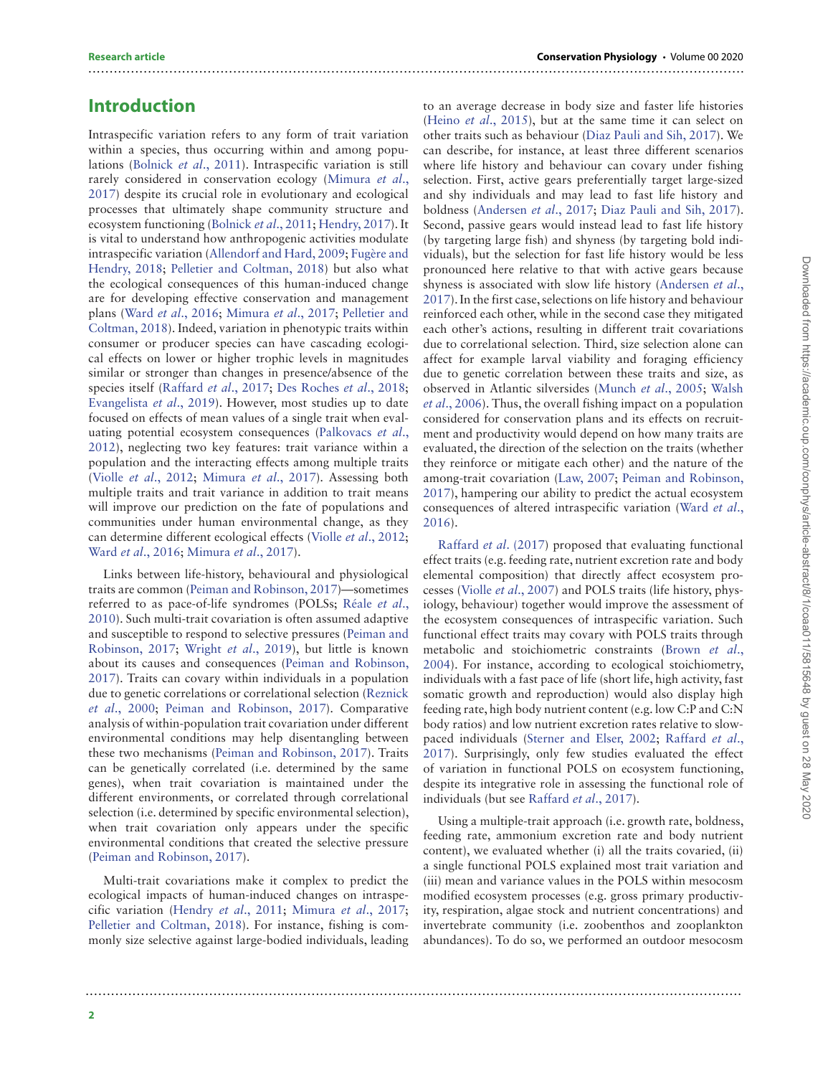#### **Research article Conservation Physiology** • Volume 00 2020

## **Introduction**

Intraspecific variation refers to any form of trait variation within a species, thus occurring within and among populations [\(Bolnick](#page-11-0) et al., 2011). Intraspecific variation is still rarely considered in conservation ecology (Mimura et al., [2017\) despite its crucial role in evolutionary and ecological](#page-11-1) processes that ultimately shape community structure and ecosystem functioning [\(Bolnick](#page-11-0) et al., 2011; [Hendry, 2017\)](#page-11-2). It is vital to understand how anthropogenic activities modulate [intraspecific variation \(](#page-11-3)[Allendorf and Hard, 2009](#page-10-0)[;](#page-11-3) Fugère and Hendry, 2018; [Pelletier and Coltman, 2018\)](#page-12-0) but also what the ecological consequences of this human-induced change are for developing effective conservation and management plans (Ward et al[., 2016;](#page-12-1) [Mimura](#page-11-1) et al., 2017; Pelletier and [Coltman, 2018\). Indeed, variation in phenotypic traits within](#page-12-0) consumer or producer species can have cascading ecological effects on lower or higher trophic levels in magnitudes similar or stronger than changes in presence/absence of the species itself [\(Raffard](#page-12-2) et al., 2017; [Des Roches](#page-11-4) et al., 2018; [Evangelista](#page-11-5) et al., 2019). However, most studies up to date focused on effects of mean values of a single trait when evaluating potential ecosystem consequences (Palkovacs et al., [2012\), neglecting two key features: trait variance within a](#page-12-3) population and the interacting effects among multiple traits (Violle et al[., 2012;](#page-12-4) [Mimura](#page-11-1) et al., 2017). Assessing both multiple traits and trait variance in addition to trait means will improve our prediction on the fate of populations and communities under human environmental change, as they can determine different ecological effects (Violle et al[., 2012;](#page-12-4) Ward et al[., 2016;](#page-12-1) [Mimura](#page-11-1) et al., 2017).

Links between life-history, behavioural and physiological traits are common [\(Peiman and Robinson, 2017\)](#page-12-5)—sometimes referred to as pace-of-life syndromes (POLSs; Réale et al., [2010\). Such multi-trait covariation is often assumed adaptive](#page-12-6) [and susceptible to respond to selective pressures \(Peiman and](#page-12-5) Robinson, 2017; Wright et al[., 2019\)](#page-12-7), but little is known [about its causes and consequences \(Peiman and Robinson,](#page-12-5) 2017). Traits can covary within individuals in a population [due to genetic correlations or correlational selection \(Reznick](#page-12-8) et al., 2000; [Peiman and Robinson, 2017\)](#page-12-5). Comparative analysis of within-population trait covariation under different environmental conditions may help disentangling between these two mechanisms [\(Peiman and Robinson, 2017\)](#page-12-5). Traits can be genetically correlated (i.e. determined by the same genes), when trait covariation is maintained under the different environments, or correlated through correlational selection (i.e. determined by specific environmental selection), when trait covariation only appears under the specific environmental conditions that created the selective pressure [\(Peiman and Robinson, 2017\)](#page-12-5).

Multi-trait covariations make it complex to predict the ecological impacts of human-induced changes on intraspecific variation [\(Hendry](#page-11-6) et al., 2011; [Mimura](#page-11-1) et al., 2017; [Pelletier and Coltman, 2018\)](#page-12-0). For instance, fishing is commonly size selective against large-bodied individuals, leading

..........................................................................................................................................................

to an average decrease in body size and faster life histories (Heino et al[., 2015\)](#page-11-7), but at the same time it can select on other traits such as behaviour [\(Diaz Pauli and Sih, 2017\)](#page-11-8). We can describe, for instance, at least three different scenarios where life history and behaviour can covary under fishing selection. First, active gears preferentially target large-sized and shy individuals and may lead to fast life history and boldness [\(Andersen](#page-10-1) et al., 2017; [Diaz Pauli and Sih, 2017\)](#page-11-8). Second, passive gears would instead lead to fast life history (by targeting large fish) and shyness (by targeting bold individuals), but the selection for fast life history would be less pronounced here relative to that with active gears because shyness is associated with slow life history (Andersen et al., [2017\). In the first case, selections on life history and behaviour](#page-10-1) reinforced each other, while in the second case they mitigated each other's actions, resulting in different trait covariations due to correlational selection. Third, size selection alone can affect for example larval viability and foraging efficiency due to genetic correlation between these traits and size, as observed in Atlantic silversides [\(Munch](#page-12-9) et al., 2005; Walsh et al[., 2006\). Thus, the overall fishing impact on a population](#page-12-10) considered for conservation plans and its effects on recruitment and productivity would depend on how many traits are evaluated, the direction of the selection on the traits (whether they reinforce or mitigate each other) and the nature of the among-trait covariation [\(Law, 2007;](#page-11-9) Peiman and Robinson, [2017\), hampering our ability to predict the actual ecosystem](#page-12-5) [consequences of altered intraspecific variation \(Ward](#page-12-1) et al., 2016).

..........................................................................................................................................................

[Raffard](#page-12-2) *et al.* (2017) proposed that evaluating functional effect traits (e.g. feeding rate, nutrient excretion rate and body elemental composition) that directly affect ecosystem processes (Violle et al[., 2007\)](#page-12-11) and POLS traits (life history, physiology, behaviour) together would improve the assessment of the ecosystem consequences of intraspecific variation. Such functional effect traits may covary with POLS traits through metabolic and stoichiometric constraints (Brown et al., [2004\). For instance, according to ecological stoichiometry,](#page-11-10) individuals with a fast pace of life (short life, high activity, fast somatic growth and reproduction) would also display high feeding rate, high body nutrient content (e.g. low C:P and C:N body ratios) and low nutrient excretion rates relative to slowpaced individuals [\(Sterner and Elser, 2002;](#page-12-12) Raffard et al., [2017\). Surprisingly, only few studies evaluated the effect](#page-12-2) of variation in functional POLS on ecosystem functioning, despite its integrative role in assessing the functional role of individuals (but see [Raffard](#page-12-2) et al., 2017).

Using a multiple-trait approach (i.e. growth rate, boldness, feeding rate, ammonium excretion rate and body nutrient content), we evaluated whether (i) all the traits covaried, (ii) a single functional POLS explained most trait variation and (iii) mean and variance values in the POLS within mesocosm modified ecosystem processes (e.g. gross primary productivity, respiration, algae stock and nutrient concentrations) and invertebrate community (i.e. zoobenthos and zooplankton abundances). To do so, we performed an outdoor mesocosm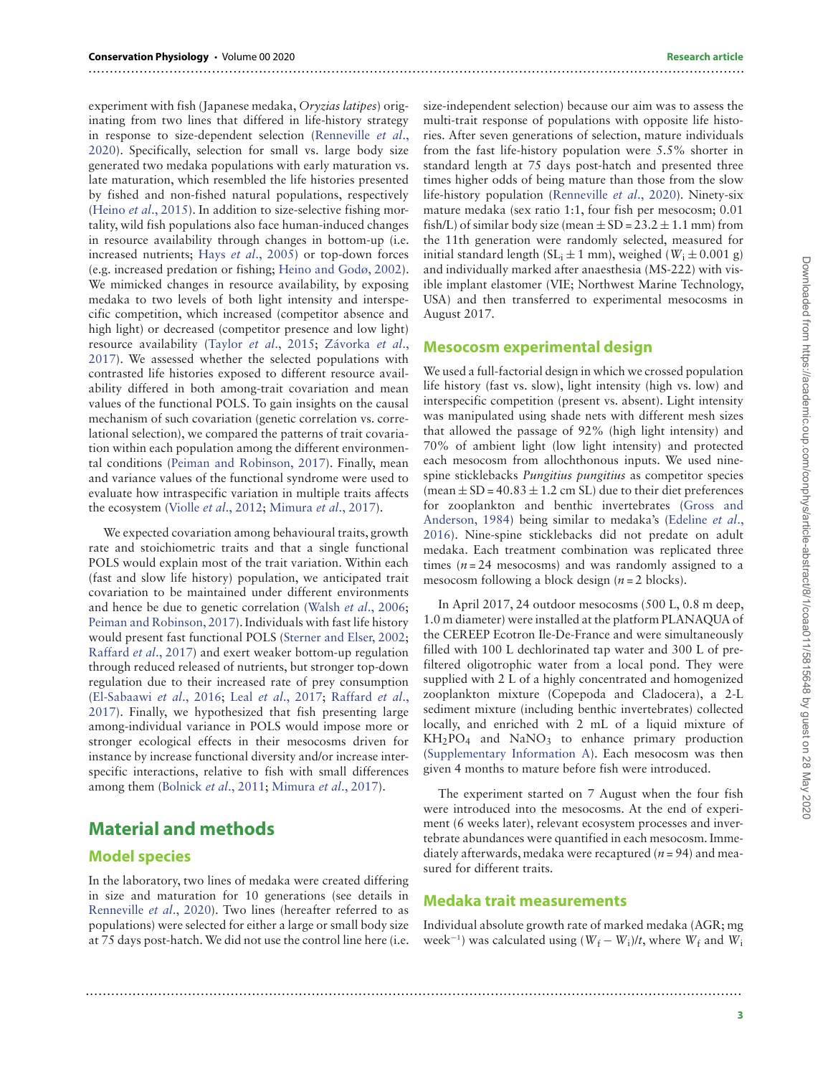## experiment with fish (Japanese medaka, Oryzias latipes) originating from two lines that differed in life-history strategy in response to size-dependent selection (Renneville et al., [2020\). Specifically, selection for small vs. large body size](#page-12-13) generated two medaka populations with early maturation vs. late maturation, which resembled the life histories presented by fished and non-fished natural populations, respectively (Heino et al[., 2015\)](#page-11-7). In addition to size-selective fishing mortality, wild fish populations also face human-induced changes in resource availability through changes in bottom-up (i.e. increased nutrients; Hays et al[., 2005\)](#page-11-11) or top-down forces (e.g. increased predation or fishing; [Heino and Godø, 2002\)](#page-11-12). We mimicked changes in resource availability, by exposing medaka to two levels of both light intensity and interspecific competition, which increased (competitor absence and

high light) or decreased (competitor presence and low light) resource availability (Taylor et al[., 2015;](#page-12-14) Závorka et al., [2017\). We assessed whether the selected populations with](#page-12-15) contrasted life histories exposed to different resource availability differed in both among-trait covariation and mean values of the functional POLS. To gain insights on the causal mechanism of such covariation (genetic correlation vs. correlational selection), we compared the patterns of trait covariation within each population among the different environmental conditions [\(Peiman and Robinson, 2017\)](#page-12-5). Finally, mean and variance values of the functional syndrome were used to evaluate how intraspecific variation in multiple traits affects the ecosystem (Violle et al[., 2012;](#page-12-4) [Mimura](#page-11-1) et al., 2017).

We expected covariation among behavioural traits, growth rate and stoichiometric traits and that a single functional POLS would explain most of the trait variation. Within each (fast and slow life history) population, we anticipated trait covariation to be maintained under different environments and hence be due to genetic correlation (Walsh et al[., 2006;](#page-12-10) [Peiman and Robinson, 2017\)](#page-12-5). Individuals with fast life history would present fast functional POLS [\(Sterner and Elser, 2002;](#page-12-12) [Raffard](#page-12-2) et al., 2017) and exert weaker bottom-up regulation through reduced released of nutrients, but stronger top-down regulation due to their increased rate of prey consumption [\(El-Sabaawi](#page-11-13) et al., 2016; Leal et al[., 2017;](#page-11-14) Raffard et al., [2017\). Finally, we hypothesized that fish presenting large](#page-12-2) among-individual variance in POLS would impose more or stronger ecological effects in their mesocosms driven for instance by increase functional diversity and/or increase interspecific interactions, relative to fish with small differences among them [\(Bolnick](#page-11-0) et al., 2011; [Mimura](#page-11-1) et al., 2017).

# **Material and methods**

## **Model species**

In the laboratory, two lines of medaka were created differing in size and maturation for 10 generations (see details in [Renneville](#page-12-13) et al., 2020). Two lines (hereafter referred to as populations) were selected for either a large or small body size at 75 days post-hatch. We did not use the control line here (i.e.

size-independent selection) because our aim was to assess the multi-trait response of populations with opposite life histories. After seven generations of selection, mature individuals from the fast life-history population were 5.5% shorter in standard length at 75 days post-hatch and presented three times higher odds of being mature than those from the slow life-history population [\(Renneville](#page-12-13) et al., 2020). Ninety-six mature medaka (sex ratio 1:1, four fish per mesocosm; 0.01 fish/L) of similar body size (mean  $\pm$  SD = 23.2  $\pm$  1.1 mm) from the 11th generation were randomly selected, measured for initial standard length (SL<sub>i</sub>  $\pm$  1 mm), weighed (W<sub>i</sub>  $\pm$  0.001 g) and individually marked after anaesthesia (MS-222) with visible implant elastomer (VIE; Northwest Marine Technology, USA) and then transferred to experimental mesocosms in August 2017.

## **Mesocosm experimental design**

We used a full-factorial design in which we crossed population life history (fast vs. slow), light intensity (high vs. low) and interspecific competition (present vs. absent). Light intensity was manipulated using shade nets with different mesh sizes that allowed the passage of 92% (high light intensity) and 70% of ambient light (low light intensity) and protected each mesocosm from allochthonous inputs. We used ninespine sticklebacks Pungitius pungitius as competitor species (mean  $\pm$  SD = 40.83  $\pm$  1.2 cm SL) due to their diet preferences [for zooplankton and benthic invertebrates \(Gross and](#page-11-15) Anderson, 1984) being similar to medaka's (Edeline et al., [2016\). Nine-spine sticklebacks did not predate on adult](#page-11-16) medaka. Each treatment combination was replicated three times ( $n = 24$  mesocosms) and was randomly assigned to a mesocosm following a block design  $(n = 2$  blocks).

In April 2017, 24 outdoor mesocosms (500 L, 0.8 m deep, 1.0 m diameter) were installed at the platform PLANAQUA of the CEREEP Ecotron Ile-De-France and were simultaneously filled with 100 L dechlorinated tap water and 300 L of prefiltered oligotrophic water from a local pond. They were supplied with 2 L of a highly concentrated and homogenized zooplankton mixture (Copepoda and Cladocera), a 2-L sediment mixture (including benthic invertebrates) collected locally, and enriched with 2 mL of a liquid mixture of  $KH_2PO_4$  and  $NaNO_3$  to enhance primary production [\(Supplementary Information A\)](https://academic.oup.com/conphys/article-lookup/doi/10.1093/conphys/coaa011#supplementary-data). Each mesocosm was then given 4 months to mature before fish were introduced.

The experiment started on 7 August when the four fish were introduced into the mesocosms. At the end of experiment (6 weeks later), relevant ecosystem processes and invertebrate abundances were quantified in each mesocosm. Immediately afterwards, medaka were recaptured ( $n = 94$ ) and measured for different traits.

#### **Medaka trait measurements**

..........................................................................................................................................................

Individual absolute growth rate of marked medaka (AGR; mg week<sup>-1</sup>) was calculated using  $(W_f - W_i)/t$ , where  $W_f$  and  $W_i$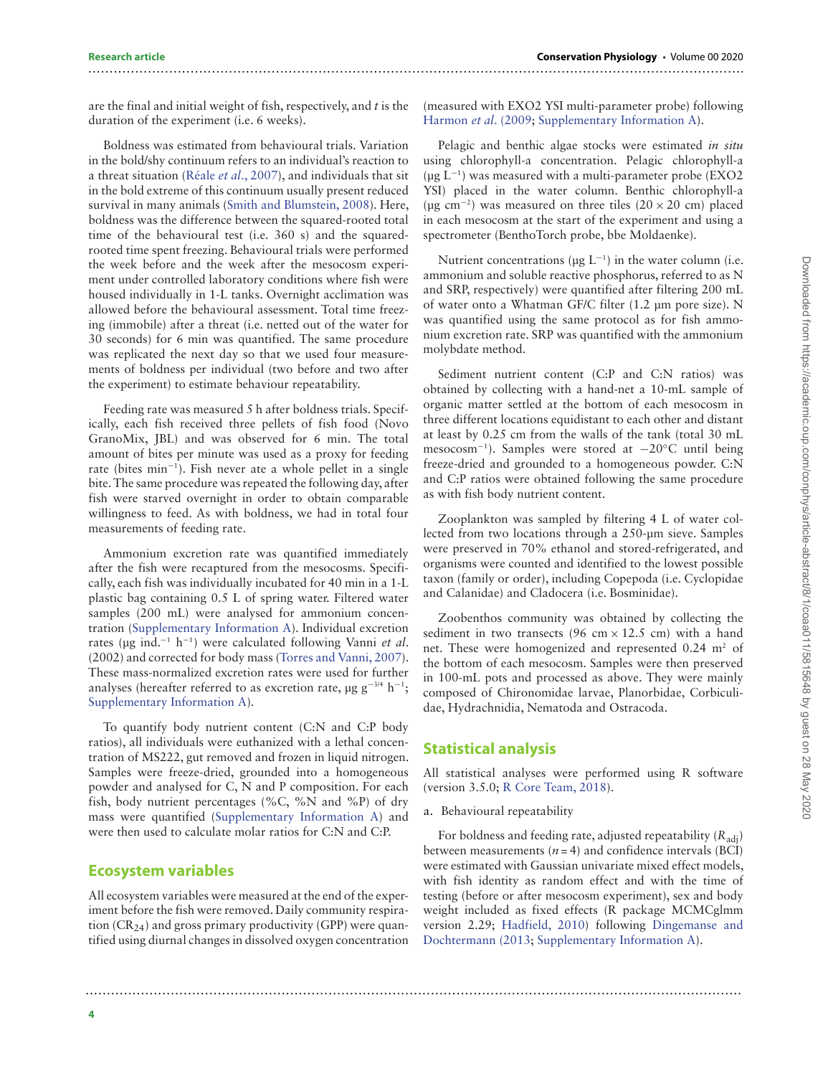are the final and initial weight of fish, respectively, and  $t$  is the duration of the experiment (i.e. 6 weeks).

Boldness was estimated from behavioural trials. Variation in the bold/shy continuum refers to an individual's reaction to a threat situation (Réale et al[., 2007\)](#page-12-16), and individuals that sit in the bold extreme of this continuum usually present reduced survival in many animals [\(Smith and Blumstein, 2008\)](#page-12-17). Here, boldness was the difference between the squared-rooted total time of the behavioural test (i.e. 360 s) and the squaredrooted time spent freezing. Behavioural trials were performed the week before and the week after the mesocosm experiment under controlled laboratory conditions where fish were housed individually in 1-L tanks. Overnight acclimation was allowed before the behavioural assessment. Total time freezing (immobile) after a threat (i.e. netted out of the water for 30 seconds) for 6 min was quantified. The same procedure was replicated the next day so that we used four measurements of boldness per individual (two before and two after the experiment) to estimate behaviour repeatability.

Feeding rate was measured 5 h after boldness trials. Specifically, each fish received three pellets of fish food (Novo GranoMix, JBL) and was observed for 6 min. The total amount of bites per minute was used as a proxy for feeding rate (bites min−1). Fish never ate a whole pellet in a single bite. The same procedure was repeated the following day, after fish were starved overnight in order to obtain comparable willingness to feed. As with boldness, we had in total four measurements of feeding rate.

Ammonium excretion rate was quantified immediately after the fish were recaptured from the mesocosms. Specifically, each fish was individually incubated for 40 min in a 1-L plastic bag containing 0.5 L of spring water. Filtered water samples (200 mL) were analysed for ammonium concentration [\(Supplementary Information A\)](https://academic.oup.com/conphys/article-lookup/doi/10.1093/conphys/coaa011#supplementary-data). Individual excretion rates (μg ind.<sup>-1</sup> h<sup>-1</sup>) were calculated following Vanni *et al.* (2002) and corrected for body mass [\(Torres and Vanni, 2007\)](#page-12-18). These mass-normalized excretion rates were used for further analyses (hereafter referred to as excretion rate, μg  $g^{-3/4}$  h<sup>-1</sup>; [Supplementary Information A\)](https://academic.oup.com/conphys/article-lookup/doi/10.1093/conphys/coaa011#supplementary-data).

To quantify body nutrient content (C:N and C:P body ratios), all individuals were euthanized with a lethal concentration of MS222, gut removed and frozen in liquid nitrogen. Samples were freeze-dried, grounded into a homogeneous powder and analysed for C, N and P composition. For each fish, body nutrient percentages (%C, %N and %P) of dry mass were quantified [\(Supplementary Information A\)](https://academic.oup.com/conphys/article-lookup/doi/10.1093/conphys/coaa011#supplementary-data) and were then used to calculate molar ratios for C:N and C:P.

## **Ecosystem variables**

All ecosystem variables were measured at the end of the experiment before the fish were removed. Daily community respiration  $(CR_{24})$  and gross primary productivity (GPP) were quantified using diurnal changes in dissolved oxygen concentration

(measured with EXO2 YSI multi-parameter probe) following [Harmon](#page-11-17) et al. (2009; [Supplementary Information A\)](https://academic.oup.com/conphys/article-lookup/doi/10.1093/conphys/coaa011#supplementary-data).

Pelagic and benthic algae stocks were estimated in situ using chlorophyll-a concentration. Pelagic chlorophyll-a ( $\mu$ g L<sup>-1</sup>) was measured with a multi-parameter probe (EXO2 YSI) placed in the water column. Benthic chlorophyll-a (μg cm<sup>-2</sup>) was measured on three tiles (20 × 20 cm) placed in each mesocosm at the start of the experiment and using a spectrometer (BenthoTorch probe, bbe Moldaenke).

Nutrient concentrations ( $\mu$ g L<sup>-1</sup>) in the water column (i.e. ammonium and soluble reactive phosphorus, referred to as N and SRP, respectively) were quantified after filtering 200 mL of water onto a Whatman GF/C filter (1.2 μm pore size). N was quantified using the same protocol as for fish ammonium excretion rate. SRP was quantified with the ammonium molybdate method.

Sediment nutrient content (C:P and C:N ratios) was obtained by collecting with a hand-net a 10-mL sample of organic matter settled at the bottom of each mesocosm in three different locations equidistant to each other and distant at least by 0.25 cm from the walls of the tank (total 30 mL mesocosm−1). Samples were stored at −20◦C until being freeze-dried and grounded to a homogeneous powder. C:N and C:P ratios were obtained following the same procedure as with fish body nutrient content.

Zooplankton was sampled by filtering 4 L of water collected from two locations through a 250-μm sieve. Samples were preserved in 70% ethanol and stored-refrigerated, and organisms were counted and identified to the lowest possible taxon (family or order), including Copepoda (i.e. Cyclopidae and Calanidae) and Cladocera (i.e. Bosminidae).

Zoobenthos community was obtained by collecting the sediment in two transects (96 cm  $\times$  12.5 cm) with a hand net. These were homogenized and represented 0.24 m<sup>2</sup> of the bottom of each mesocosm. Samples were then preserved in 100-mL pots and processed as above. They were mainly composed of Chironomidae larvae, Planorbidae, Corbiculidae, Hydrachnidia, Nematoda and Ostracoda.

#### **Statistical analysis**

All statistical analyses were performed using R software (version 3.5.0; [R Core Team, 2018\)](#page-12-19).

#### a. Behavioural repeatability

..........................................................................................................................................................

For boldness and feeding rate, adjusted repeatability  $(R_{\text{adi}})$ between measurements  $(n = 4)$  and confidence intervals (BCI) were estimated with Gaussian univariate mixed effect models, with fish identity as random effect and with the time of testing (before or after mesocosm experiment), sex and body weight included as fixed effects (R package MCMCglmm version 2.29; [Hadfield, 2010\)](#page-11-18) following Dingemanse and Dochtermann (2013; [Supplementary Information A\).](#page-11-19)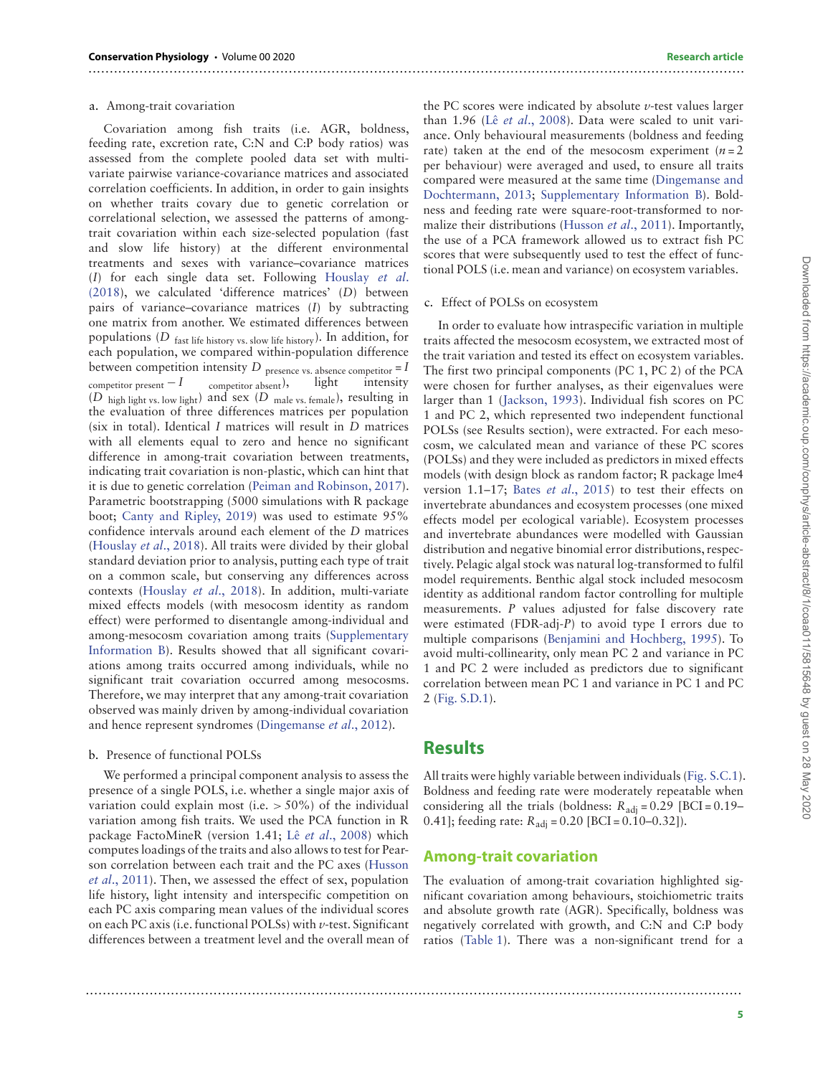#### a. Among-trait covariation

Covariation among fish traits (i.e. AGR, boldness, feeding rate, excretion rate, C:N and C:P body ratios) was assessed from the complete pooled data set with multivariate pairwise variance-covariance matrices and associated correlation coefficients. In addition, in order to gain insights on whether traits covary due to genetic correlation or correlational selection, we assessed the patterns of amongtrait covariation within each size-selected population (fast and slow life history) at the different environmental treatments and sexes with variance–covariance matrices (I) for each single data set. Following Houslay et al. [\(2018\), we calculated 'difference matrices' \(](#page-11-20)D) between pairs of variance–covariance matrices (I) by subtracting one matrix from another. We estimated differences between populations ( $D$  fast life history vs. slow life history). In addition, for each population, we compared within-population difference between competition intensity D presence vs. absence competitor = I<br>competitor present  $-I$  competitor absent), light intensity competitor absent), light intensity ( $D$  high light vs. low light) and sex ( $D$  male vs. female), resulting in the evaluation of three differences matrices per population (six in total). Identical I matrices will result in D matrices with all elements equal to zero and hence no significant difference in among-trait covariation between treatments, indicating trait covariation is non-plastic, which can hint that it is due to genetic correlation [\(Peiman and Robinson, 2017\)](#page-12-5). Parametric bootstrapping (5000 simulations with R package boot; [Canty and Ripley, 2019\)](#page-11-21) was used to estimate 95% confidence intervals around each element of the D matrices [\(Houslay](#page-11-20) et al., 2018). All traits were divided by their global standard deviation prior to analysis, putting each type of trait on a common scale, but conserving any differences across contexts [\(Houslay](#page-11-20) et al., 2018). In addition, multi-variate mixed effects models (with mesocosm identity as random effect) were performed to disentangle among-individual and [among-mesocosm covariation among traits \(Supplementary](https://academic.oup.com/conphys/article-lookup/doi/10.1093/conphys/coaa011#supplementary-data) Information B). Results showed that all significant covariations among traits occurred among individuals, while no significant trait covariation occurred among mesocosms. Therefore, we may interpret that any among-trait covariation observed was mainly driven by among-individual covariation and hence represent syndromes [\(Dingemanse](#page-11-22) et al., 2012).

#### b. Presence of functional POLSs

We performed a principal component analysis to assess the presence of a single POLS, i.e. whether a single major axis of variation could explain most (i.e. *>* 50%) of the individual variation among fish traits. We used the PCA function in R package FactoMineR (version 1.41; Lê et al[., 2008\)](#page-11-23) which computes loadings of the traits and also allows to test for Pear[son correlation between each trait and the PC axes \(Husson](#page-11-24) et al., 2011). Then, we assessed the effect of sex, population life history, light intensity and interspecific competition on each PC axis comparing mean values of the individual scores on each PC axis (i.e. functional POLSs) with  $\nu$ -test. Significant differences between a treatment level and the overall mean of

the PC scores were indicated by absolute  $\nu$ -test values larger than 1.96 (Lê et al[., 2008\)](#page-11-23). Data were scaled to unit variance. Only behavioural measurements (boldness and feeding rate) taken at the end of the mesocosm experiment  $(n=2)$ per behaviour) were averaged and used, to ensure all traits [compared were measured at the same time \(Dingemanse and](#page-11-19) Dochtermann, 2013; [Supplementary Information B\)](https://academic.oup.com/conphys/article-lookup/doi/10.1093/conphys/coaa011#supplementary-data). Boldness and feeding rate were square-root-transformed to nor-malize their distributions [\(Husson](#page-11-24) et al., 2011). Importantly, the use of a PCA framework allowed us to extract fish PC scores that were subsequently used to test the effect of functional POLS (i.e. mean and variance) on ecosystem variables.

#### c. Effect of POLSs on ecosystem

..........................................................................................................................................................

In order to evaluate how intraspecific variation in multiple traits affected the mesocosm ecosystem, we extracted most of the trait variation and tested its effect on ecosystem variables. The first two principal components (PC 1, PC 2) of the PCA were chosen for further analyses, as their eigenvalues were larger than 1 [\(Jackson, 1993\)](#page-11-25). Individual fish scores on PC 1 and PC 2, which represented two independent functional POLSs (see Results section), were extracted. For each mesocosm, we calculated mean and variance of these PC scores (POLSs) and they were included as predictors in mixed effects models (with design block as random factor; R package lme4 version 1.1–17; Bates et al[., 2015\)](#page-11-26) to test their effects on invertebrate abundances and ecosystem processes (one mixed effects model per ecological variable). Ecosystem processes and invertebrate abundances were modelled with Gaussian distribution and negative binomial error distributions, respectively. Pelagic algal stock was natural log-transformed to fulfil model requirements. Benthic algal stock included mesocosm identity as additional random factor controlling for multiple measurements. P values adjusted for false discovery rate were estimated (FDR-adj-P) to avoid type I errors due to multiple comparisons [\(Benjamini and Hochberg, 1995\)](#page-11-27). To avoid multi-collinearity, only mean PC 2 and variance in PC 1 and PC 2 were included as predictors due to significant correlation between mean PC 1 and variance in PC 1 and PC 2 [\(Fig. S.D.1\)](https://academic.oup.com/conphys/article-lookup/doi/10.1093/conphys/coaa011#supplementary-data).

## **Results**

..........................................................................................................................................................

All traits were highly variable between individuals [\(Fig. S.C.1\)](https://academic.oup.com/conphys/article-lookup/doi/10.1093/conphys/coaa011#supplementary-data). Boldness and feeding rate were moderately repeatable when considering all the trials (boldness:  $R_{\text{adj}} = 0.29$  [BCI = 0.19– 0.41]; feeding rate:  $R_{\text{adj}} = 0.20$  [BCI = 0.10–0.32]).

### **Among-trait covariation**

The evaluation of among-trait covariation highlighted significant covariation among behaviours, stoichiometric traits and absolute growth rate (AGR). Specifically, boldness was negatively correlated with growth, and C:N and C:P body ratios [\(Table 1\)](#page-5-0). There was a non-significant trend for a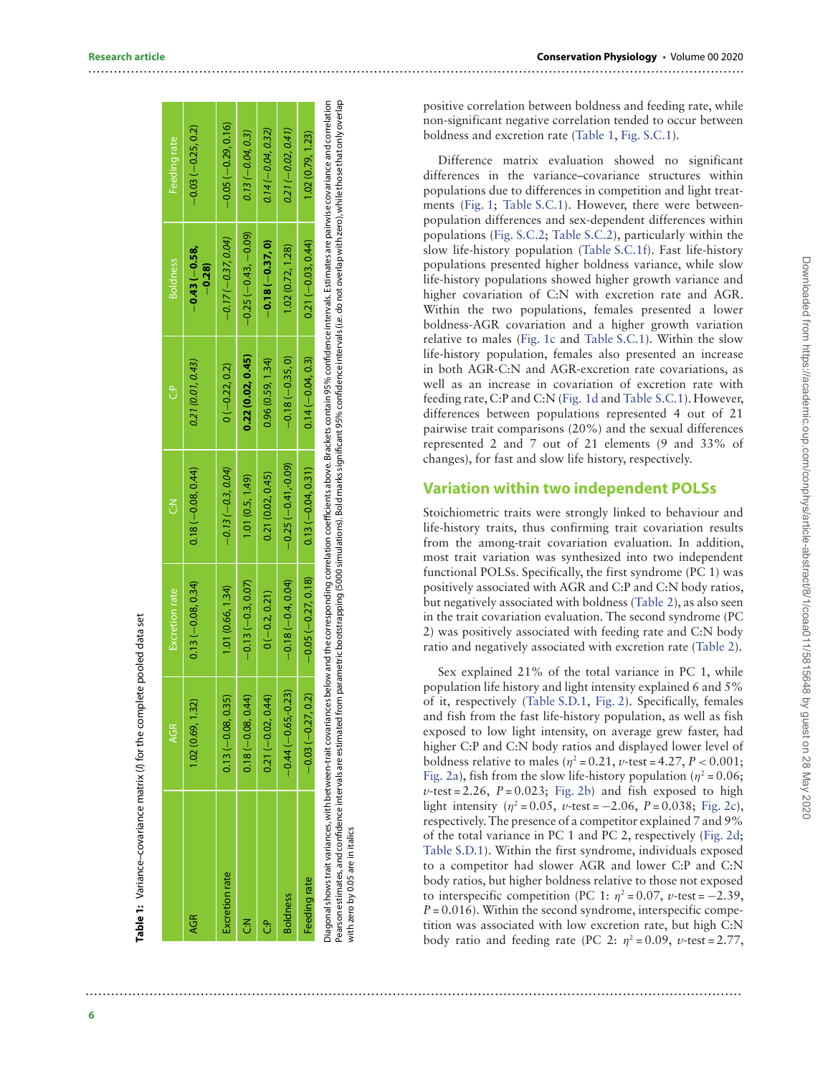| search article |  |
|----------------|--|
|                |  |

positive correlation between boldness and feeding rate, while non-significant negative correlation tended to occur between boldness and excretion rate [\(Table 1,](#page-5-0) [Fig. S.C.1\)](https://academic.oup.com/conphys/article-lookup/doi/10.1093/conphys/coaa011#supplementary-data).

Difference matrix evaluation showed no significant differences in the variance–covariance structures within populations due to differences in competition and light treatments [\(Fig. 1;](#page-6-0) [Table S.C.1\)](https://academic.oup.com/conphys/article-lookup/doi/10.1093/conphys/coaa011#supplementary-data). However, there were betweenpopulation differences and sex-dependent differences within populations [\(Fig. S.C.2;](https://academic.oup.com/conphys/article-lookup/doi/10.1093/conphys/coaa011#supplementary-data) [Table S.C.2\)](https://academic.oup.com/conphys/article-lookup/doi/10.1093/conphys/coaa011#supplementary-data), particularly within the slow life-history population [\(Table S.C.1f\)](https://academic.oup.com/conphys/article-lookup/doi/10.1093/conphys/coaa011#supplementary-data). Fast life-history populations presented higher boldness variance, while slow life-history populations showed higher growth variance and higher covariation of C:N with excretion rate and AGR. Within the two populations, females presented a lower boldness-AGR covariation and a higher growth variation relative to males [\(Fig. 1c](#page-6-0) and [Table S.C.1\)](https://academic.oup.com/conphys/article-lookup/doi/10.1093/conphys/coaa011#supplementary-data). Within the slow life-history population, females also presented an increase in both AGR-C:N and AGR-excretion rate covariations, as well as an increase in covariation of excretion rate with feeding rate, C:P and C:N [\(Fig. 1d](#page-6-0) and [Table S.C.1\)](https://academic.oup.com/conphys/article-lookup/doi/10.1093/conphys/coaa011#supplementary-data). However, differences between populations represented 4 out of 21 pairwise trait comparisons (20%) and the sexual differences represented 2 and 7 out of 21 elements (9 and 33% of changes), for fast and slow life history, respectively.

## **Variation within two independent POLSs**

Stoichiometric traits were strongly linked to behaviour and life-history traits, thus confirming trait covariation results from the among-trait covariation evaluation. In addition, most trait variation was synthesized into two independent functional POLSs. Specifically, the first syndrome (PC 1) was positively associated with AGR and C:P and C:N body ratios, but negatively associated with boldness [\(Table 2\)](#page-6-1), as also seen in the trait covariation evaluation. The second syndrome (PC 2) was positively associated with feeding rate and C:N body ratio and negatively associated with excretion rate [\(Table 2\)](#page-6-1).

Sex explained 21% of the total variance in PC 1, while population life history and light intensity explained 6 and 5% of it, respectively [\(Table S.D.1,](https://academic.oup.com/conphys/article-lookup/doi/10.1093/conphys/coaa011#supplementary-data) [Fig. 2\)](#page-7-0). Specifically, females and fish from the fast life-history population, as well as fish exposed to low light intensity, on average grew faster, had higher C:P and C:N body ratios and displayed lower level of boldness relative to males ( $\eta^2 = 0.21$ , v-test = 4.27, P < 0.001; [Fig. 2a\)](#page-7-0), fish from the slow life-history population ( $\eta^2$  = 0.06;  $v$ -test = 2.26,  $P = 0.023$ ; [Fig. 2b\)](#page-7-0) and fish exposed to high light intensity ( $\eta^2 = 0.05$ , v-test = -2.06, P = 0.038; [Fig. 2c\)](#page-7-0), respectively. The presence of a competitor explained 7 and 9% of the total variance in PC 1 and PC 2, respectively [\(Fig. 2d;](#page-7-0) [Table S.D.1\)](https://academic.oup.com/conphys/article-lookup/doi/10.1093/conphys/coaa011#supplementary-data). Within the first syndrome, individuals exposed to a competitor had slower AGR and lower C:P and C:N body ratios, but higher boldness relative to those not exposed to interspecific competition (PC 1:  $\eta^2 = 0.07$ , v-test = -2.39,  $P = 0.016$ ). Within the second syndrome, interspecific competition was associated with low excretion rate, but high C:N body ratio and feeding rate (PC 2:  $\eta^2 = 0.09$ , v-test = 2.77,

Table 1: Variance-covariance matrix (i) for the complete pooled data set

|                                                                                                                                                                                                                         | AGR                  | Excretion rate       | $\ddot{\ddot{\zeta}}$ | Ĵ                   | <b>Boldness</b>                | Feeding rate           |
|-------------------------------------------------------------------------------------------------------------------------------------------------------------------------------------------------------------------------|----------------------|----------------------|-----------------------|---------------------|--------------------------------|------------------------|
| <b>AGR</b>                                                                                                                                                                                                              | 1.02(0.69, 1.32)     | $0.13(-0.08, 0.34)$  | $0.18(-0.08, 0.44)$   | 0.21 (0.01, 0.43)   | $-0.43$ ( $-0.58$ ,<br>$-0.28$ | $-0.03$ $(-0.25, 0.2)$ |
| <b>Excretion rate</b>                                                                                                                                                                                                   | $0.13(-0.08, 0.35)$  | 1.01(0.66, 1.34)     | $-0.13(-0.3, 0.04)$   | $0 (-0.22, 0.2)$    | $-0.17(-0.37, 0.04)$           | $-0.05(-0.29, 0.16)$   |
| $\ddot{\tilde{c}}$                                                                                                                                                                                                      | $0.18 (-0.08, 0.44)$ | $-0.13(-0.3, 0.07)$  | 1.01(0.5, 1.49)       | 0.22(0.02, 0.45)    | $-0.25(-0.43,-0.09)$           | $0.13$ $(-0.04, 0.3)$  |
| م.<br>ت                                                                                                                                                                                                                 | $0.21 (-0.02, 0.44)$ | $0(-0.2, 0.21)$      | 0.21(0.02, 0.45)      | 0.96(0.59, 1.34)    | $-0.18(-0.37, 0)$              | $0.14(-0.04, 0.32)$    |
| <b>Boldness</b>                                                                                                                                                                                                         | $-0.44(-0.65,-0.23)$ | $-0.18(-0.4, 0.04)$  | $-0.25(-0.41,-0.09)$  | $-0.18(-0.35, 0)$   | 1.02(0.72, 1.28)               | $0.21\,(-0.02,\,0.41)$ |
| Feeding rate                                                                                                                                                                                                            | $-0.03(-0.27, 0.2)$  | $-0.05(-0.27, 0.18)$ | $0.13(-0.04, 0.31)$   | $0.14 (-0.04, 0.3)$ | $0.21(-0.03, 0.44)$            | 1.02(0.79, 1.23)       |
| Diagonal shows trait variances, with between-trait covariances below and the corresponding correlation coefficients above. Brackets contain 95% confidence intervals. Estimates are pairwise covariance and correlation |                      |                      |                       |                     |                                |                        |

Diagonal shows trait variances, with between-trait covariances below and the corresponding correlation coefficients above. Brackets contain 95% confidence intervals. Estimates are pairwise covariance and correlation Pearson estimates, and confidence intervals are estimated from parametric bootstrapping (5000 simulations). Bold marks significant 95% confidence intervals (i.e. do not overlap with zero), while those that only overlap

Pearson estimates, and confidence intervals are estimated from parametric bootstrapping (5000 simulations). Bold marks significant 95% confidence intervals (i.e. do not overlap with zero), while those that only overlap

with zero by 0.05 are in italics

<span id="page-5-0"></span>with zero by 0.05 are in italics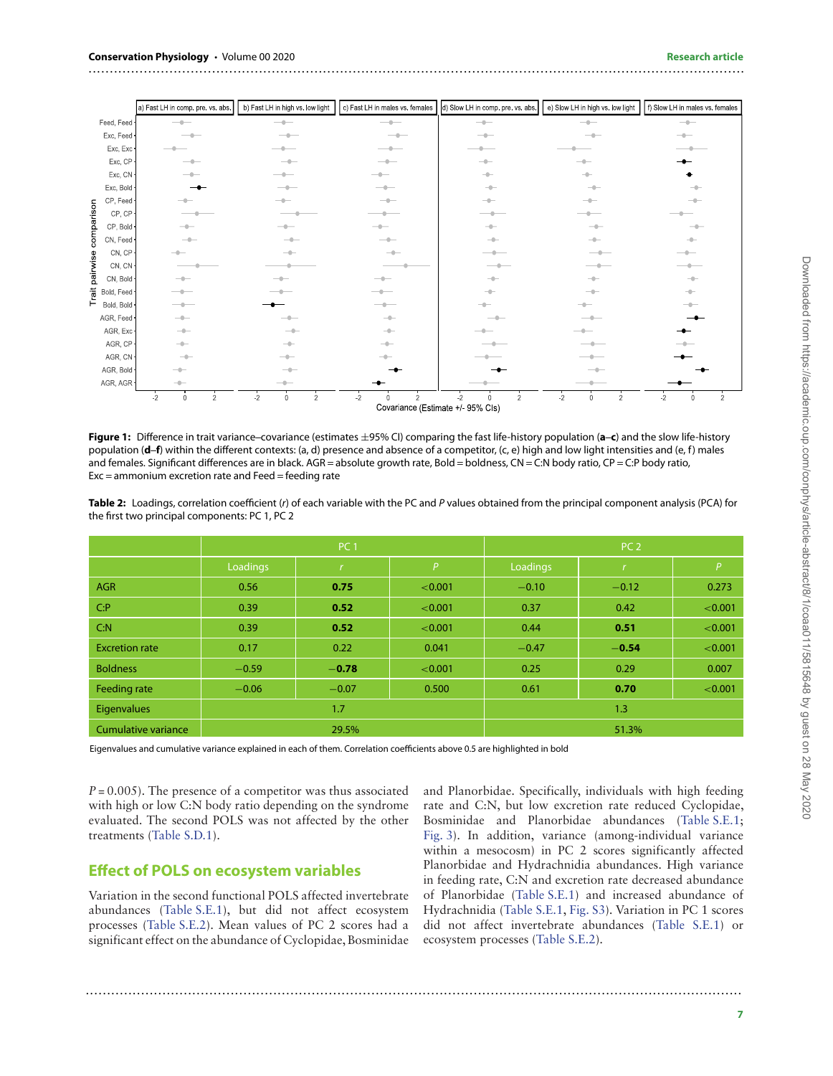|                     | a) Fast LH in comp. pre. vs. abs. | b) Fast LH in high vs. low light                                           | c) Fast LH in males vs. females                                             | d) Slow LH in comp. pre. vs. abs.      | e) Slow LH in high vs. low light       | f) Slow LH in males vs. females |
|---------------------|-----------------------------------|----------------------------------------------------------------------------|-----------------------------------------------------------------------------|----------------------------------------|----------------------------------------|---------------------------------|
| Feed, Feed          | $\frac{1}{2}$                     | $\frac{1}{2}$                                                              | $-$                                                                         | $- +$                                  | $-$                                    | $- -$                           |
| Exc. Feed-          | $-$                               | $-$                                                                        | $-$                                                                         | $-$                                    | -                                      | $\overline{\phantom{a}}$        |
| Exc, Exc            |                                   |                                                                            |                                                                             |                                        |                                        |                                 |
| Exc, CP<br>Exc, CN- | $-$                               | $-$                                                                        | $-$                                                                         | $-$                                    | $-$                                    |                                 |
|                     | $-$                               | $-$                                                                        | $-$                                                                         | $-0-$                                  | -0-                                    |                                 |
| Exc, Bold           |                                   | $-$                                                                        | --                                                                          | $-0-$                                  | $-$                                    | $-0-$                           |
| CP, Feed            | --                                | $-$                                                                        | -0-                                                                         | $-0-$                                  | --                                     | --                              |
| comparison          | CP, CP                            |                                                                            |                                                                             |                                        | -                                      |                                 |
| CP, Bold-           |                                   |                                                                            | --                                                                          | -0-                                    | $-0-$                                  |                                 |
|                     | $-$                               | -                                                                          |                                                                             | $-0-$                                  | $-0$                                   | $-$                             |
| CN, Feed            | $-$                               | $-$                                                                        | $-$                                                                         |                                        |                                        | -0-                             |
|                     | CN, CP<br>$-$                     | -                                                                          | $-$                                                                         |                                        |                                        |                                 |
| pairwise            | CN, CN-                           |                                                                            |                                                                             |                                        |                                        |                                 |
| CN, Bold            | $-$                               |                                                                            | -                                                                           | $-$                                    | $-0-$                                  | $-$                             |
| Trait<br>Bold, Feed | --                                |                                                                            |                                                                             | --                                     | --                                     | ÷                               |
| Bold, Bold -        | --                                |                                                                            | $-0-$                                                                       | -0-                                    | -0-                                    |                                 |
| AGR, Feed-          | $-0-$                             | -0-<br>$-0-$<br>$-$<br>$-0-$<br>$-0-$<br>$-0-$<br>$\overline{\phantom{a}}$ |                                                                             |                                        |                                        |                                 |
| AGR, Exc-           |                                   |                                                                            |                                                                             |                                        |                                        |                                 |
| AGR, CP-            |                                   |                                                                            |                                                                             |                                        |                                        |                                 |
| AGR, CN-            |                                   |                                                                            |                                                                             |                                        |                                        |                                 |
| AGR, Bold-          | $-$                               |                                                                            |                                                                             |                                        |                                        |                                 |
| AGR, AGR-           | $\rightarrow$                     | ÷                                                                          |                                                                             |                                        |                                        |                                 |
|                     | $-2$<br>$\overline{2}$<br>$\circ$ | $-2$<br>$\mathbf{0}$<br>$\overline{2}$                                     | $\overline{2}$<br>$-2$<br>$\mathbf{0}$<br>Covariance (Estimate +/- 95% Cls) | $-2$<br>$\overline{2}$<br>$\mathbf{0}$ | $-2$<br>$\overline{2}$<br>$\mathbf{0}$ | $-2$<br>$\overline{2}$<br>0     |

<span id="page-6-0"></span>**Figure 1:** Difference in trait variance–covariance (estimates ±95% CI) comparing the fast life-history population (**a**–**c**) and the slow life-history population (**d–f**) within the different contexts: (a, d) presence and absence of a competitor, (c, e) high and low light intensities and (e, f) males and females. Significant differences are in black. AGR = absolute growth rate, Bold = boldness, CN = C:N body ratio, CP = C:P body ratio, Exc = ammonium excretion rate and Feed = feeding rate

<span id="page-6-1"></span>**Table 2:** Loadings, correlation coefficient (r) of each variable with the PC and P values obtained from the principal component analysis (PCA) for the first two principal components: PC 1, PC 2

|                            | PC <sub>1</sub> |         |         | PC <sub>2</sub> |         |         |  |
|----------------------------|-----------------|---------|---------|-----------------|---------|---------|--|
|                            | Loadings        |         | P       | Loadings        |         | P       |  |
| <b>AGR</b>                 | 0.56            | 0.75    | < 0.001 | $-0.10$         | $-0.12$ | 0.273   |  |
| C: P                       | 0.39            | 0.52    | < 0.001 | 0.37            | 0.42    | < 0.001 |  |
| C: N                       | 0.39            | 0.52    | < 0.001 | 0.44            | 0.51    | < 0.001 |  |
| <b>Excretion rate</b>      | 0.17            | 0.22    | 0.041   | $-0.47$         | $-0.54$ | < 0.001 |  |
| <b>Boldness</b>            | $-0.59$         | $-0.78$ | < 0.001 | 0.25            | 0.29    | 0.007   |  |
| Feeding rate               | $-0.06$         | $-0.07$ | 0.500   | 0.61            | 0.70    | < 0.001 |  |
| Eigenvalues                | 1.7             |         |         | 1.3             |         |         |  |
| <b>Cumulative variance</b> | 29.5%           |         | 51.3%   |                 |         |         |  |

..........................................................................................................................................................

Eigenvalues and cumulative variance explained in each of them. Correlation coefficients above 0.5 are highlighted in bold

 $P = 0.005$ ). The presence of a competitor was thus associated with high or low C:N body ratio depending on the syndrome evaluated. The second POLS was not affected by the other treatments [\(Table S.D.1\)](https://academic.oup.com/conphys/article-lookup/doi/10.1093/conphys/coaa011#supplementary-data).

## **Effect of POLS on ecosystem variables**

Variation in the second functional POLS affected invertebrate abundances [\(Table S.E.1\)](https://academic.oup.com/conphys/article-lookup/doi/10.1093/conphys/coaa011#supplementary-data), but did not affect ecosystem processes [\(Table S.E.2\)](https://academic.oup.com/conphys/article-lookup/doi/10.1093/conphys/coaa011#supplementary-data). Mean values of PC 2 scores had a significant effect on the abundance of Cyclopidae, Bosminidae

and Planorbidae. Specifically, individuals with high feeding rate and C:N, but low excretion rate reduced Cyclopidae, Bosminidae and Planorbidae abundances [\(Table S.E.1;](https://academic.oup.com/conphys/article-lookup/doi/10.1093/conphys/coaa011#supplementary-data) [Fig. 3\)](#page-8-0). In addition, variance (among-individual variance within a mesocosm) in PC 2 scores significantly affected Planorbidae and Hydrachnidia abundances. High variance in feeding rate, C:N and excretion rate decreased abundance of Planorbidae [\(Table S.E.1\)](https://academic.oup.com/conphys/article-lookup/doi/10.1093/conphys/coaa011#supplementary-data) and increased abundance of Hydrachnidia [\(Table S.E.1,](https://academic.oup.com/conphys/article-lookup/doi/10.1093/conphys/coaa011#supplementary-data) [Fig. S3\)](https://academic.oup.com/conphys/article-lookup/doi/10.1093/conphys/coaa011#supplementary-data). Variation in PC 1 scores did not affect invertebrate abundances [\(Table S.E.1\)](https://academic.oup.com/conphys/article-lookup/doi/10.1093/conphys/coaa011#supplementary-data) or ecosystem processes [\(Table S.E.2\)](https://academic.oup.com/conphys/article-lookup/doi/10.1093/conphys/coaa011#supplementary-data).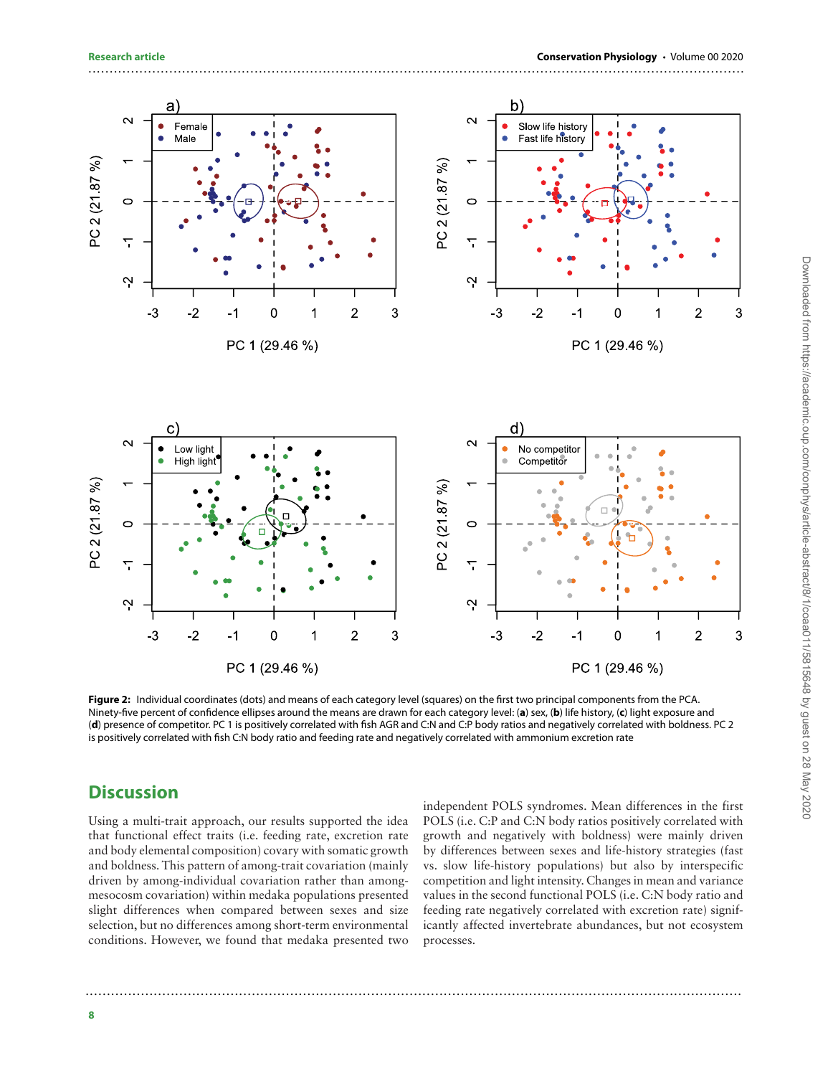

<span id="page-7-0"></span>**Figure 2:** Individual coordinates (dots) and means of each category level (squares) on the first two principal components from the PCA. Ninety-five percent of confidence ellipses around the means are drawn for each category level: (**a**) sex, (**b**) life history, (**c**) light exposure and (**d**) presence of competitor. PC 1 is positively correlated with fish AGR and C:N and C:P body ratios and negatively correlated with boldness. PC 2 is positively correlated with fish C:N body ratio and feeding rate and negatively correlated with ammonium excretion rate

# **Discussion**

Using a multi-trait approach, our results supported the idea that functional effect traits (i.e. feeding rate, excretion rate and body elemental composition) covary with somatic growth and boldness. This pattern of among-trait covariation (mainly driven by among-individual covariation rather than amongmesocosm covariation) within medaka populations presented slight differences when compared between sexes and size selection, but no differences among short-term environmental conditions. However, we found that medaka presented two

independent POLS syndromes. Mean differences in the first POLS (i.e. C:P and C:N body ratios positively correlated with growth and negatively with boldness) were mainly driven by differences between sexes and life-history strategies (fast vs. slow life-history populations) but also by interspecific competition and light intensity. Changes in mean and variance values in the second functional POLS (i.e. C:N body ratio and feeding rate negatively correlated with excretion rate) significantly affected invertebrate abundances, but not ecosystem processes.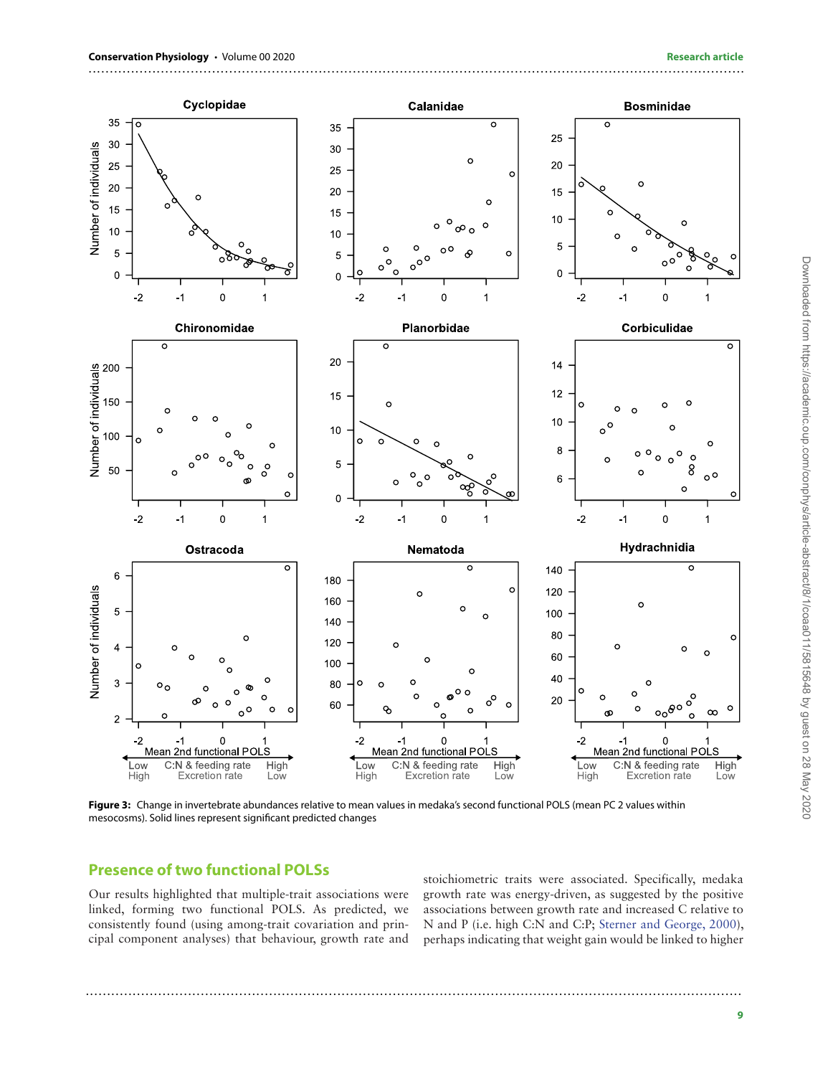

<span id="page-8-0"></span>**Figure 3:** Change in invertebrate abundances relative to mean values in medaka's second functional POLS (mean PC 2 values within mesocosms). Solid lines represent significant predicted changes

..........................................................................................................................................................

## **Presence of two functional POLSs**

Our results highlighted that multiple-trait associations were linked, forming two functional POLS. As predicted, we consistently found (using among-trait covariation and principal component analyses) that behaviour, growth rate and

stoichiometric traits were associated. Specifically, medaka growth rate was energy-driven, as suggested by the positive associations between growth rate and increased C relative to N and P (i.e. high C:N and C:P; [Sterner and George, 2000\)](#page-12-20), perhaps indicating that weight gain would be linked to higher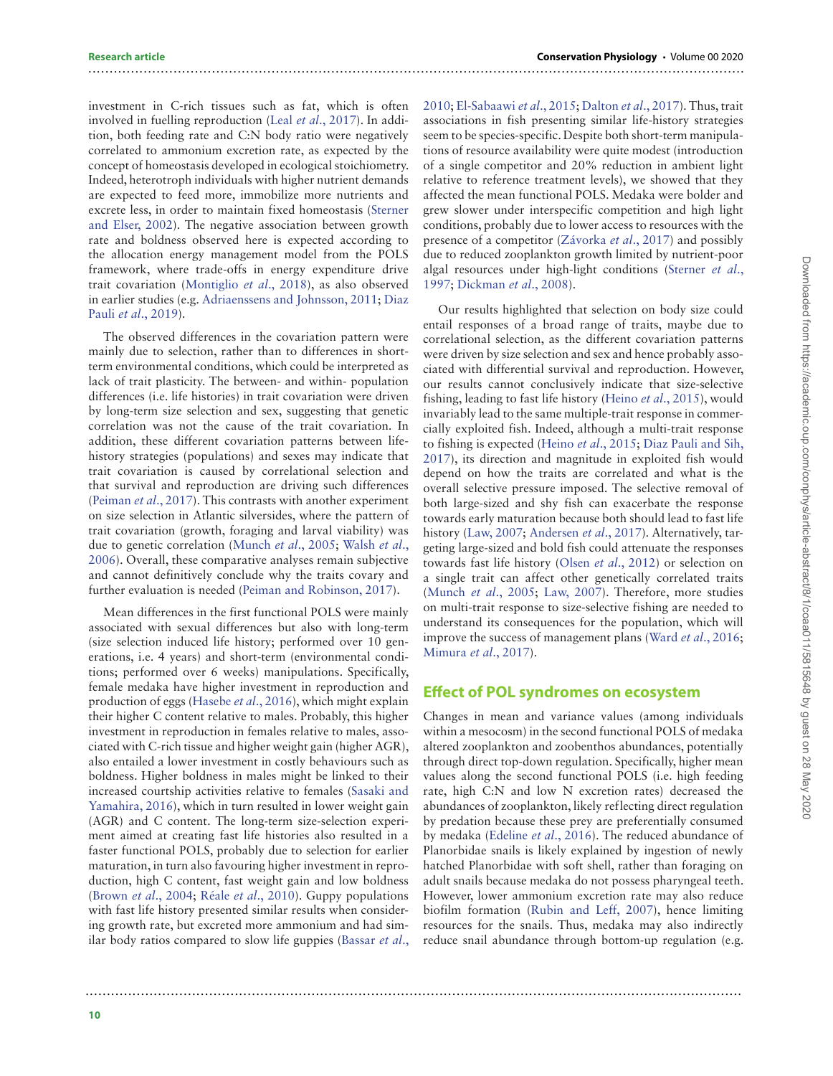investment in C-rich tissues such as fat, which is often involved in fuelling reproduction (Leal et al[., 2017\)](#page-11-14). In addition, both feeding rate and C:N body ratio were negatively correlated to ammonium excretion rate, as expected by the concept of homeostasis developed in ecological stoichiometry. Indeed, heterotroph individuals with higher nutrient demands are expected to feed more, immobilize more nutrients and [excrete less, in order to maintain fixed homeostasis \(Sterner](#page-12-12) and Elser, 2002). The negative association between growth rate and boldness observed here is expected according to the allocation energy management model from the POLS framework, where trade-offs in energy expenditure drive trait covariation [\(Montiglio](#page-11-28) et al., 2018), as also observed in earlier studies (e.g. [Adriaenssens and Johnsson, 2011](#page-10-2)[;](#page-11-29) Diaz Pauli et al., 2019).

The observed differences in the covariation pattern were mainly due to selection, rather than to differences in shortterm environmental conditions, which could be interpreted as lack of trait plasticity. The between- and within- population differences (i.e. life histories) in trait covariation were driven by long-term size selection and sex, suggesting that genetic correlation was not the cause of the trait covariation. In addition, these different covariation patterns between lifehistory strategies (populations) and sexes may indicate that trait covariation is caused by correlational selection and that survival and reproduction are driving such differences [\(Peiman](#page-12-21) et al., 2017). This contrasts with another experiment on size selection in Atlantic silversides, where the pattern of trait covariation (growth, foraging and larval viability) was due to genetic correlation [\(Munch](#page-12-9) et al., 2005; Walsh et al., [2006\). Overall, these comparative analyses remain subjective](#page-12-10) and cannot definitively conclude why the traits covary and further evaluation is needed [\(Peiman and Robinson, 2017\)](#page-12-5).

Mean differences in the first functional POLS were mainly associated with sexual differences but also with long-term (size selection induced life history; performed over 10 generations, i.e. 4 years) and short-term (environmental conditions; performed over 6 weeks) manipulations. Specifically, female medaka have higher investment in reproduction and production of eggs [\(Hasebe](#page-11-30) et al., 2016), which might explain their higher C content relative to males. Probably, this higher investment in reproduction in females relative to males, associated with C-rich tissue and higher weight gain (higher AGR), also entailed a lower investment in costly behaviours such as boldness. Higher boldness in males might be linked to their [increased courtship activities relative to females \(Sasaki and](#page-12-22) Yamahira, 2016), which in turn resulted in lower weight gain (AGR) and C content. The long-term size-selection experiment aimed at creating fast life histories also resulted in a faster functional POLS, probably due to selection for earlier maturation, in turn also favouring higher investment in reproduction, high C content, fast weight gain and low boldness (Brown et al[., 2004;](#page-11-10) Réale et al[., 2010\)](#page-12-6). Guppy populations with fast life history presented similar results when considering growth rate, but excreted more ammonium and had similar body ratios compared to slow life guppies [\(Bassar](#page-11-31) et al.,

[2010;](#page-11-31) [El-Sabaawi](#page-11-32) et al., 2015; Dalton et al[., 2017\)](#page-11-33). Thus, trait associations in fish presenting similar life-history strategies seem to be species-specific. Despite both short-term manipulations of resource availability were quite modest (introduction of a single competitor and 20% reduction in ambient light relative to reference treatment levels), we showed that they affected the mean functional POLS. Medaka were bolder and grew slower under interspecific competition and high light conditions, probably due to lower access to resources with the presence of a competitor [\(Závorka](#page-12-15) et al., 2017) and possibly due to reduced zooplankton growth limited by nutrient-poor [algal resources under high-light conditions \(Sterner](#page-12-23) et al., 1997; [Dickman](#page-11-34) et al., 2008).

..........................................................................................................................................................

..........................................................................................................................................................

Our results highlighted that selection on body size could entail responses of a broad range of traits, maybe due to correlational selection, as the different covariation patterns were driven by size selection and sex and hence probably associated with differential survival and reproduction. However, our results cannot conclusively indicate that size-selective fishing, leading to fast life history (Heino et al[., 2015\)](#page-11-7), would invariably lead to the same multiple-trait response in commercially exploited fish. Indeed, although a multi-trait response to fishing is expected (Heino et al[., 2015;](#page-11-7) Diaz Pauli and Sih, [2017\), its direction and magnitude in exploited fish would](#page-11-8) depend on how the traits are correlated and what is the overall selective pressure imposed. The selective removal of both large-sized and shy fish can exacerbate the response towards early maturation because both should lead to fast life history [\(Law, 2007;](#page-11-9) [Andersen](#page-10-1) et al., 2017). Alternatively, targeting large-sized and bold fish could attenuate the responses towards fast life history (Olsen et al[., 2012\)](#page-12-24) or selection on a single trait can affect other genetically correlated traits (Munch et al[., 2005;](#page-12-9) [Law, 2007\)](#page-11-9). Therefore, more studies on multi-trait response to size-selective fishing are needed to understand its consequences for the population, which will improve the success of management plans (Ward *et al.*, 2016; [Mimura](#page-11-1) et al., 2017).

#### **Effect of POL syndromes on ecosystem**

Changes in mean and variance values (among individuals within a mesocosm) in the second functional POLS of medaka altered zooplankton and zoobenthos abundances, potentially through direct top-down regulation. Specifically, higher mean values along the second functional POLS (i.e. high feeding rate, high C:N and low N excretion rates) decreased the abundances of zooplankton, likely reflecting direct regulation by predation because these prey are preferentially consumed by medaka [\(Edeline](#page-11-16) et al., 2016). The reduced abundance of Planorbidae snails is likely explained by ingestion of newly hatched Planorbidae with soft shell, rather than foraging on adult snails because medaka do not possess pharyngeal teeth. However, lower ammonium excretion rate may also reduce biofilm formation [\(Rubin and Leff, 2007\)](#page-12-25), hence limiting resources for the snails. Thus, medaka may also indirectly reduce snail abundance through bottom-up regulation (e.g.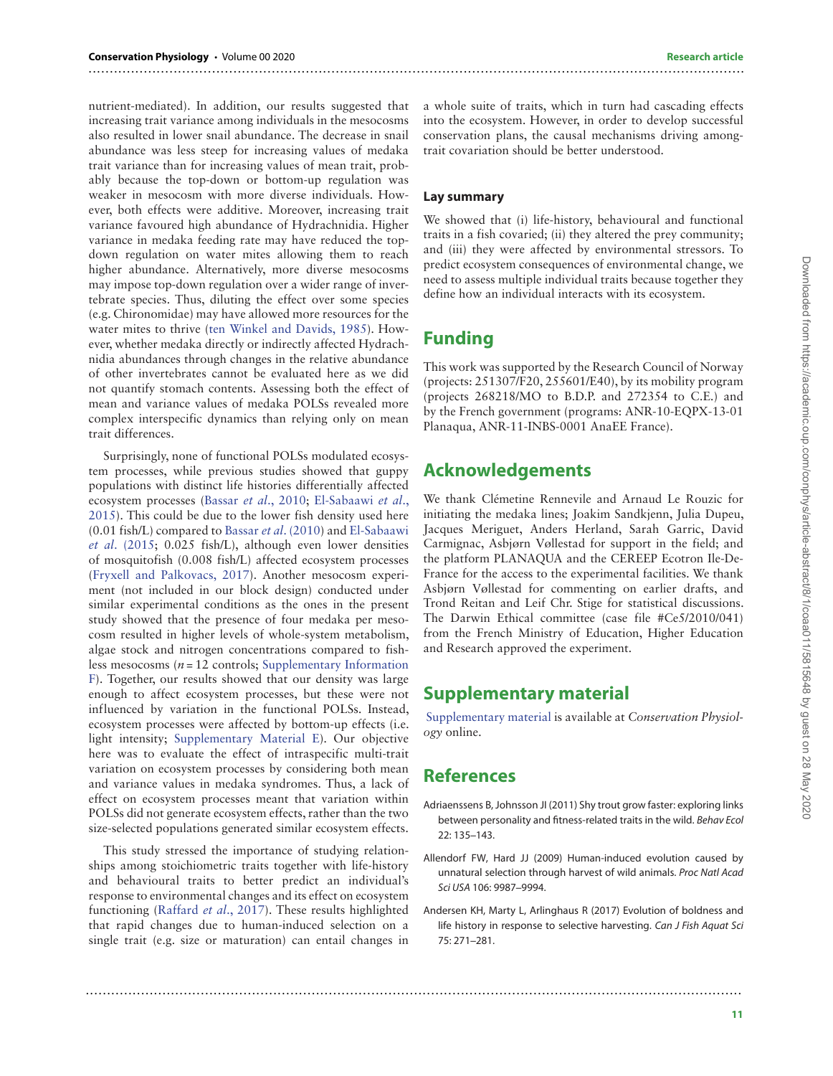#### nutrient-mediated). In addition, our results suggested that increasing trait variance among individuals in the mesocosms also resulted in lower snail abundance. The decrease in snail abundance was less steep for increasing values of medaka trait variance than for increasing values of mean trait, probably because the top-down or bottom-up regulation was weaker in mesocosm with more diverse individuals. However, both effects were additive. Moreover, increasing trait variance favoured high abundance of Hydrachnidia. Higher variance in medaka feeding rate may have reduced the topdown regulation on water mites allowing them to reach higher abundance. Alternatively, more diverse mesocosms may impose top-down regulation over a wider range of invertebrate species. Thus, diluting the effect over some species (e.g. Chironomidae) may have allowed more resources for the water mites to thrive [\(ten Winkel and Davids, 1985\)](#page-12-26). However, whether medaka directly or indirectly affected Hydrachnidia abundances through changes in the relative abundance of other invertebrates cannot be evaluated here as we did not quantify stomach contents. Assessing both the effect of mean and variance values of medaka POLSs revealed more complex interspecific dynamics than relying only on mean trait differences.

Surprisingly, none of functional POLSs modulated ecosystem processes, while previous studies showed that guppy populations with distinct life histories differentially affected ecosystem processes (Bassar et al[., 2010;](#page-11-31) El-Sabaawi et al., [2015\). This could be due to the lower fish density used here](#page-11-32) (0.01 fish/L) compared to Bassar et al[. \(2010\)](#page-11-31) and El-Sabaawi et al[. \(2015; 0.025 fish/L\), although even lower densities](#page-11-32) of mosquitofish (0.008 fish/L) affected ecosystem processes [\(Fryxell and Palkovacs, 2017\)](#page-11-35). Another mesocosm experiment (not included in our block design) conducted under similar experimental conditions as the ones in the present study showed that the presence of four medaka per mesocosm resulted in higher levels of whole-system metabolism, algae stock and nitrogen concentrations compared to fishless mesocosms ( $n = 12$  controls; Supplementary Information [F\). Together, our results showed that our density was large](https://academic.oup.com/conphys/article-lookup/doi/10.1093/conphys/coaa011#supplementary-data) enough to affect ecosystem processes, but these were not influenced by variation in the functional POLSs. Instead, ecosystem processes were affected by bottom-up effects (i.e. light intensity; [Supplementary Material E\)](https://academic.oup.com/conphys/article-lookup/doi/10.1093/conphys/coaa011#supplementary-data). Our objective here was to evaluate the effect of intraspecific multi-trait variation on ecosystem processes by considering both mean and variance values in medaka syndromes. Thus, a lack of effect on ecosystem processes meant that variation within POLSs did not generate ecosystem effects, rather than the two size-selected populations generated similar ecosystem effects.

This study stressed the importance of studying relationships among stoichiometric traits together with life-history and behavioural traits to better predict an individual's response to environmental changes and its effect on ecosystem functioning [\(Raffard](#page-12-2) et al., 2017). These results highlighted that rapid changes due to human-induced selection on a single trait (e.g. size or maturation) can entail changes in

a whole suite of traits, which in turn had cascading effects into the ecosystem. However, in order to develop successful conservation plans, the causal mechanisms driving amongtrait covariation should be better understood.

#### **Lay summary**

We showed that (i) life-history, behavioural and functional traits in a fish covaried; (ii) they altered the prey community; and (iii) they were affected by environmental stressors. To predict ecosystem consequences of environmental change, we need to assess multiple individual traits because together they define how an individual interacts with its ecosystem.

# **Funding**

This work was supported by the Research Council of Norway (projects: 251307/F20, 255601/E40), by its mobility program (projects 268218/MO to B.D.P. and 272354 to C.E.) and by the French government (programs: ANR-10-EQPX-13-01 Planaqua, ANR-11-INBS-0001 AnaEE France).

# **Acknowledgements**

We thank Clémetine Rennevile and Arnaud Le Rouzic for initiating the medaka lines; Joakim Sandkjenn, Julia Dupeu, Jacques Meriguet, Anders Herland, Sarah Garric, David Carmignac, Asbjørn Vøllestad for support in the field; and the platform PLANAQUA and the CEREEP Ecotron Ile-De-France for the access to the experimental facilities. We thank Asbjørn Vøllestad for commenting on earlier drafts, and Trond Reitan and Leif Chr. Stige for statistical discussions. The Darwin Ethical committee (case file #Ce5/2010/041) from the French Ministry of Education, Higher Education and Research approved the experiment.

# **Supplementary material**

[Supplementary material](https://academic.oup.com/conphys/article-lookup/doi/10.1093/conphys/coaa011#supplementary-data) is available at Conservation Physiology online.

# **References**

- <span id="page-10-2"></span>Adriaenssens B, Johnsson JI (2011) Shy trout grow faster: exploring links between personality and fitness-related traits in the wild. Behav Ecol 22: 135–143.
- <span id="page-10-0"></span>Allendorf FW, Hard JJ (2009) Human-induced evolution caused by unnatural selection through harvest of wild animals. Proc Natl Acad Sci USA 106: 9987–9994.
- <span id="page-10-1"></span>Andersen KH, Marty L, Arlinghaus R (2017) Evolution of boldness and life history in response to selective harvesting. Can J Fish Aquat Sci 75: 271–281.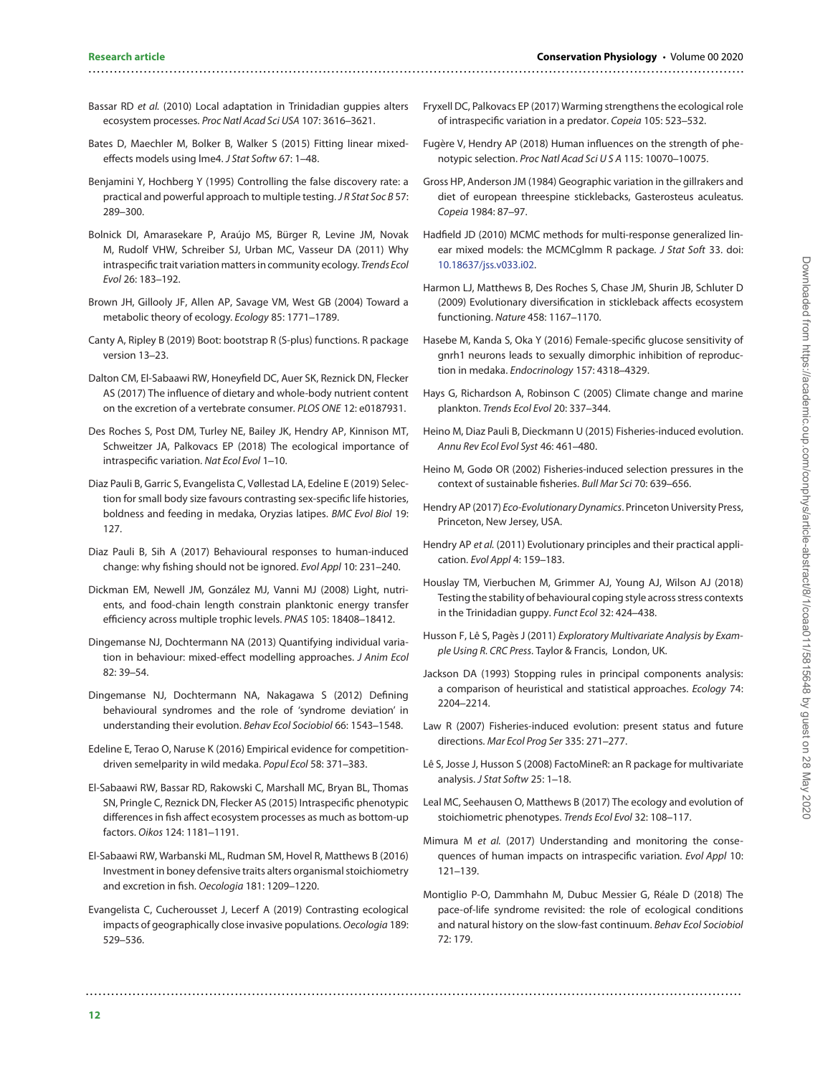- ecosystem processes. Proc Natl Acad Sci USA 107: 3616–3621.
- <span id="page-11-26"></span>Bates D, Maechler M, Bolker B, Walker S (2015) Fitting linear mixedeffects models using lme4. J Stat Softw 67: 1–48.
- <span id="page-11-27"></span>Benjamini Y, Hochberg Y (1995) Controlling the false discovery rate: a practical and powerful approach to multiple testing. JR Stat Soc B 57: 289–300.
- <span id="page-11-0"></span>Bolnick DI, Amarasekare P, Araújo MS, Bürger R, Levine JM, Novak M, Rudolf VHW, Schreiber SJ, Urban MC, Vasseur DA (2011) Why intraspecific trait variation matters in community ecology. Trends Ecol Evol 26: 183–192.
- <span id="page-11-10"></span>Brown JH, Gillooly JF, Allen AP, Savage VM, West GB (2004) Toward a metabolic theory of ecology. Ecology 85: 1771–1789.
- <span id="page-11-21"></span>Canty A, Ripley B (2019) Boot: bootstrap R (S-plus) functions. R package version 13–23.
- <span id="page-11-33"></span>Dalton CM, El-Sabaawi RW, Honeyfield DC, Auer SK, Reznick DN, Flecker AS (2017) The influence of dietary and whole-body nutrient content on the excretion of a vertebrate consumer. PLOS ONE 12: e0187931.
- <span id="page-11-4"></span>Des Roches S, Post DM, Turley NE, Bailey JK, Hendry AP, Kinnison MT, Schweitzer JA, Palkovacs EP (2018) The ecological importance of intraspecific variation. Nat Ecol Evol 1–10.
- <span id="page-11-29"></span>Diaz Pauli B, Garric S, Evangelista C, Vøllestad LA, Edeline E (2019) Selection for small body size favours contrasting sex-specific life histories, boldness and feeding in medaka, Oryzias latipes. BMC Evol Biol 19: 127.
- <span id="page-11-8"></span>Diaz Pauli B, Sih A (2017) Behavioural responses to human-induced change: why fishing should not be ignored. Evol Appl 10: 231–240.
- <span id="page-11-34"></span>Dickman EM, Newell JM, González MJ, Vanni MJ (2008) Light, nutrients, and food-chain length constrain planktonic energy transfer efficiency across multiple trophic levels. PNAS 105: 18408–18412.
- <span id="page-11-19"></span>Dingemanse NJ, Dochtermann NA (2013) Quantifying individual variation in behaviour: mixed-effect modelling approaches. J Anim Ecol 82: 39–54.
- <span id="page-11-22"></span>Dingemanse NJ, Dochtermann NA, Nakagawa S (2012) Defining behavioural syndromes and the role of 'syndrome deviation' in understanding their evolution. Behav Ecol Sociobiol 66: 1543–1548.
- <span id="page-11-16"></span>Edeline E, Terao O, Naruse K (2016) Empirical evidence for competitiondriven semelparity in wild medaka. Popul Ecol 58: 371–383.
- <span id="page-11-32"></span>El-Sabaawi RW, Bassar RD, Rakowski C, Marshall MC, Bryan BL, Thomas SN, Pringle C, Reznick DN, Flecker AS (2015) Intraspecific phenotypic differences in fish affect ecosystem processes as much as bottom-up factors. Oikos 124: 1181–1191.
- <span id="page-11-13"></span>El-Sabaawi RW, Warbanski ML, Rudman SM, Hovel R, Matthews B (2016) Investment in boney defensive traits alters organismal stoichiometry and excretion in fish. Oecologia 181: 1209–1220.
- <span id="page-11-5"></span>Evangelista C, Cucherousset J, Lecerf A (2019) Contrasting ecological impacts of geographically close invasive populations. Oecologia 189: 529–536.

<span id="page-11-31"></span>Bassar RD *et al*. (2010) Local adaptation in Trinidadian guppies alters Fryxell DC, Palkovacs EP (2017) Warming strengthens the ecological role of intraspecific variation in a predator. Copeia 105: 523–532.

- <span id="page-11-35"></span><span id="page-11-3"></span>Fugère V, Hendry AP (2018) Human influences on the strength of phenotypic selection. Proc Natl Acad Sci U S A 115: 10070–10075.
- <span id="page-11-15"></span>Gross HP, Anderson JM (1984) Geographic variation in the gillrakers and diet of european threespine sticklebacks, Gasterosteus aculeatus. Copeia 1984: 87–97.
- <span id="page-11-18"></span>Hadfield JD (2010) MCMC methods for multi-response generalized linear mixed models: the MCMCglmm R package. J Stat Soft 33. doi: [10.18637/jss.v033.i02.](https://doi.org/10.18637/jss.v033.i02)
- <span id="page-11-17"></span>Harmon LJ, Matthews B, Des Roches S, Chase JM, Shurin JB, Schluter D (2009) Evolutionary diversification in stickleback affects ecosystem functioning. Nature 458: 1167–1170.
- <span id="page-11-30"></span>Hasebe M, Kanda S, Oka Y (2016) Female-specific glucose sensitivity of gnrh1 neurons leads to sexually dimorphic inhibition of reproduction in medaka. Endocrinology 157: 4318–4329.
- <span id="page-11-11"></span>Hays G, Richardson A, Robinson C (2005) Climate change and marine plankton. Trends Ecol Evol 20: 337–344.
- <span id="page-11-7"></span>Heino M, Diaz Pauli B, Dieckmann U (2015) Fisheries-induced evolution. Annu Rev Ecol Evol Syst 46: 461–480.
- <span id="page-11-12"></span>Heino M, Godø OR (2002) Fisheries-induced selection pressures in the context of sustainable fisheries. Bull Mar Sci 70: 639–656.
- <span id="page-11-2"></span>Hendry AP (2017) Eco-Evolutionary Dynamics. Princeton University Press, Princeton, New Jersey, USA.
- <span id="page-11-6"></span>Hendry AP et al. (2011) Evolutionary principles and their practical application. Evol Appl 4: 159–183.
- <span id="page-11-20"></span>Houslay TM, Vierbuchen M, Grimmer AJ, Young AJ, Wilson AJ (2018) Testing the stability of behavioural coping style across stress contexts in the Trinidadian guppy. Funct Ecol 32: 424–438.
- <span id="page-11-24"></span>Husson F, Lê S, Pagès J (2011) Exploratory Multivariate Analysis by Example Using R. CRC Press. Taylor & Francis, London, UK.
- <span id="page-11-25"></span>Jackson DA (1993) Stopping rules in principal components analysis: a comparison of heuristical and statistical approaches. Ecology 74: 2204–2214.
- <span id="page-11-9"></span>Law R (2007) Fisheries-induced evolution: present status and future directions. Mar Ecol Prog Ser 335: 271–277.
- <span id="page-11-23"></span>Lê S, Josse J, Husson S (2008) FactoMineR: an R package for multivariate analysis. J Stat Softw 25: 1–18.
- <span id="page-11-14"></span>Leal MC, Seehausen O, Matthews B (2017) The ecology and evolution of stoichiometric phenotypes. Trends Ecol Evol 32: 108–117.
- <span id="page-11-1"></span>Mimura M et al. (2017) Understanding and monitoring the consequences of human impacts on intraspecific variation. Evol Appl 10: 121–139.
- <span id="page-11-28"></span>Montiglio P-O, Dammhahn M, Dubuc Messier G, Réale D (2018) The pace-of-life syndrome revisited: the role of ecological conditions and natural history on the slow-fast continuum. Behav Ecol Sociobiol 72: 179.